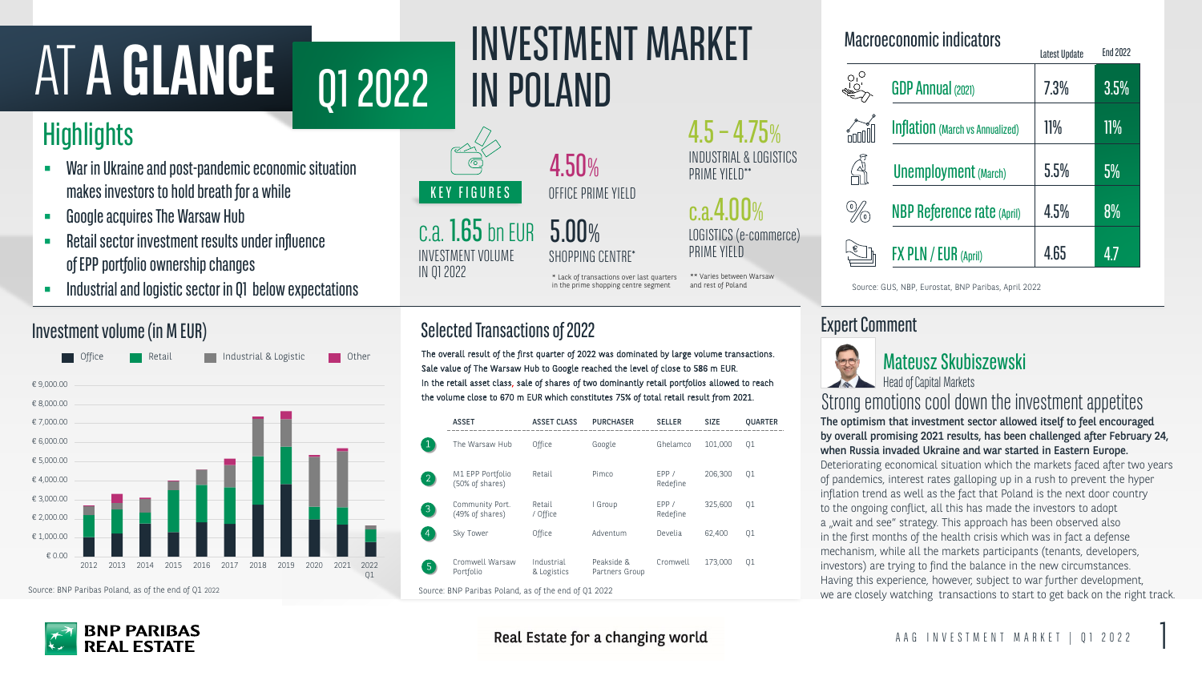# AT A GLANCE 01 2022 INVESTMENT MARKET

# **Highlights**

INVESTMENT VOLUME IN Q1 2022



c.a.4.00% LOGISTICS (e-commerce) PRIME YIELD

5.00% SHOPPING CENTRE\*

> The optimism that investment sector allowed itself to feel encouraged by overall promising 2021 results, has been challenged after February 24, when Russia invaded Ukraine and war started in Eastern Europe. Deteriorating economical situation which the markets faced after two years of pandemics, interest rates galloping up in a rush to prevent the hyper inflation trend as well as the fact that Poland is the next door country to the ongoing conflict, all this has made the investors to adopt a "wait and see" strategy. This approach has been observed also in the first months of the health crisis which was in fact a defense mechanism, while all the markets participants (tenants, developers, investors) are trying to find the balance in the new circumstances. Having this experience, however, subject to war further development, we are closely watching transactions to start to get back on the right track. Strong emotions cool down the investment appetites

### Expert Comment



#### Macroeconomic indicators

#### Investment volume (in M EUR)

4.50% OFFICE PRIME YIELD

- War in Ukraine and post-pandemic economic situation makes investors to hold breath for a while
- Google acquires The Warsaw Hub
- Retail sector investment results under influence of EPP portfolio ownership changes
- Industrial and logistic sector in Q1 below expectations

### Selected Transactions of 2022

The overall result of the first quarter of 2022 was dominated by large volume transactions. Office **Industrial & Logistic Deverations** Industrial & Logistic Other Mateus of The Overall result of the Jirst quarter of 2022 was dominated by large volume transactions.<br>Sale value of The Warsaw Hub to Google reached th In the retail asset class, sale of shares of two dominantly retail portfolios allowed to reach the volume close to 670 m EUR which constitutes 75% of total retail result from 2021.

|                                        | <b>Latest Update</b> | End 2022 |
|----------------------------------------|----------------------|----------|
| <b>GDP Annual (2021)</b>               | 7.3%                 | 3.5%     |
| <b>Inflation</b> (March vs Annualized) | $11\%$               | $11\%$   |
| <b>Unemployment</b> (March)            | 5.5%                 | 5%       |
| <b>NBP Reference rate (April)</b>      | 4.5%                 | $8\%$    |
| FX PLN / EUR (April)                   | 4.65                 | 47       |

\*\* Varies between Warsaw

and rest of Poland

|                                                     | <b>ASSET</b>                        | <b>ASSET CLASS</b>        | <b>PURCHASER</b>             | <b>SELLER</b>     | <b>SIZE</b> | QUARTER |  |  |
|-----------------------------------------------------|-------------------------------------|---------------------------|------------------------------|-------------------|-------------|---------|--|--|
|                                                     | The Warsaw Hub                      | Office                    | Google                       | Ghelamco          | 101,000     | Q1      |  |  |
| $\left 2\right\rangle$                              | M1 EPP Portfolio<br>(50% of shares) | Retail                    | Pimco                        | EPP /<br>Redefine | 206,300     | Q1      |  |  |
| $\mathfrak{Z}$                                      | Community Port.<br>(49% of shares)  | Retail<br>/ Office        | I Group                      | EPP /<br>Redefine | 325,600     | Q1      |  |  |
| $\overline{4}$                                      | Sky Tower                           | Office                    | Adventum                     | Develia           | 62,400      | Q1      |  |  |
| $\overline{5}$                                      | Cromwell Warsaw<br>Portfolio        | Industrial<br>& Logistics | Peakside &<br>Partners Group | Cromwell          | 173,000     | Q1      |  |  |
| Source: RNP Paribas Poland as of the end of 01 2022 |                                     |                           |                              |                   |             |         |  |  |

#### Real Estate for a changing world



#### $4.5 - 4.75%$ INDUSTRIAL & LOGISTICS PRIME YIELD\*\*

\* Lack of transactions over last quarters in the prime shopping centre segment

Head of Capital Markets



Source: BNP Paribas Poland, as of the end of Q1 2022

Source: GUS, NBP, Eurostat, BNP Paribas, April 2022